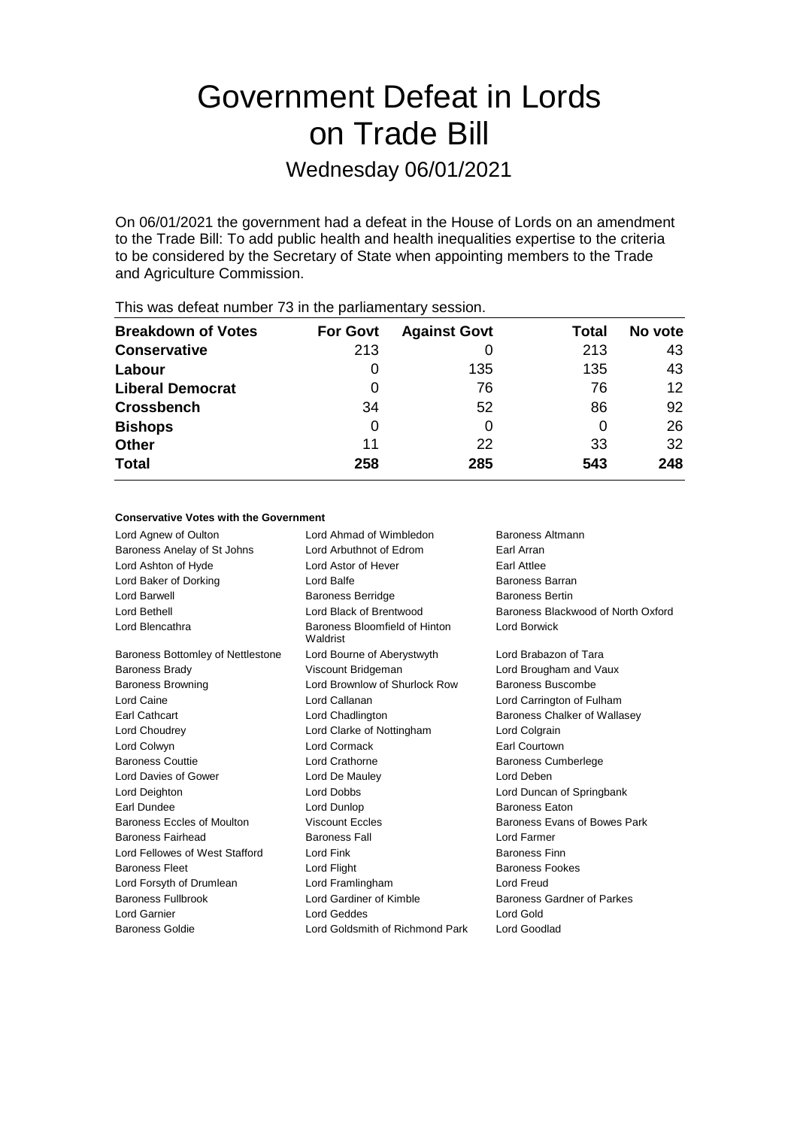# Government Defeat in Lords on Trade Bill

### Wednesday 06/01/2021

On 06/01/2021 the government had a defeat in the House of Lords on an amendment to the Trade Bill: To add public health and health inequalities expertise to the criteria to be considered by the Secretary of State when appointing members to the Trade and Agriculture Commission.

| <b>Breakdown of Votes</b> | <b>For Govt</b> | <b>Against Govt</b> | Total | No vote |
|---------------------------|-----------------|---------------------|-------|---------|
| <b>Conservative</b>       | 213             |                     | 213   | 43      |
| Labour                    | 0               | 135                 | 135   | 43      |
| <b>Liberal Democrat</b>   | O               | 76                  | 76    | $12 \,$ |
| <b>Crossbench</b>         | 34              | 52                  | 86    | 92      |
| <b>Bishops</b>            | 0               | 0                   | 0     | 26      |
| <b>Other</b>              | 11              | 22                  | 33    | 32      |
| <b>Total</b>              | 258             | 285                 | 543   | 248     |
|                           |                 |                     |       |         |

This was defeat number 73 in the parliamentary session.

#### **Conservative Votes with the Government**

| Lord Agnew of Oulton              | Lord Ahmad of Wimbledon                   | Baroness Altmann                   |
|-----------------------------------|-------------------------------------------|------------------------------------|
| Baroness Anelay of St Johns       | Lord Arbuthnot of Edrom                   | Earl Arran                         |
| Lord Ashton of Hyde               | Lord Astor of Hever                       | Earl Attlee                        |
| Lord Baker of Dorking             | Lord Balfe                                | Baroness Barran                    |
| Lord Barwell                      | <b>Baroness Berridge</b>                  | <b>Baroness Bertin</b>             |
| Lord Bethell                      | Lord Black of Brentwood                   | Baroness Blackwood of North Oxford |
| Lord Blencathra                   | Baroness Bloomfield of Hinton<br>Waldrist | Lord Borwick                       |
| Baroness Bottomley of Nettlestone | Lord Bourne of Aberystwyth                | Lord Brabazon of Tara              |
| <b>Baroness Brady</b>             | Viscount Bridgeman                        | Lord Brougham and Vaux             |
| <b>Baroness Browning</b>          | Lord Brownlow of Shurlock Row             | Baroness Buscombe                  |
| Lord Caine                        | Lord Callanan                             | Lord Carrington of Fulham          |
| <b>Earl Cathcart</b>              | Lord Chadlington                          | Baroness Chalker of Wallasey       |
| Lord Choudrey                     | Lord Clarke of Nottingham                 | Lord Colgrain                      |
| Lord Colwyn                       | Lord Cormack                              | <b>Earl Courtown</b>               |
| <b>Baroness Couttie</b>           | Lord Crathorne                            | <b>Baroness Cumberlege</b>         |
| Lord Davies of Gower              | Lord De Mauley                            | Lord Deben                         |
| Lord Deighton                     | <b>Lord Dobbs</b>                         | Lord Duncan of Springbank          |
| Earl Dundee                       | Lord Dunlop                               | <b>Baroness Eaton</b>              |
| Baroness Eccles of Moulton        | <b>Viscount Eccles</b>                    | Baroness Evans of Bowes Park       |
| Baroness Fairhead                 | <b>Baroness Fall</b>                      | Lord Farmer                        |
| Lord Fellowes of West Stafford    | Lord Fink                                 | <b>Baroness Finn</b>               |
| <b>Baroness Fleet</b>             | Lord Flight                               | <b>Baroness Fookes</b>             |
| Lord Forsyth of Drumlean          | Lord Framlingham                          | Lord Freud                         |
| <b>Baroness Fullbrook</b>         | Lord Gardiner of Kimble                   | Baroness Gardner of Parkes         |
| Lord Garnier                      | Lord Geddes                               | Lord Gold                          |
| <b>Baroness Goldie</b>            | Lord Goldsmith of Richmond Park           | Lord Goodlad                       |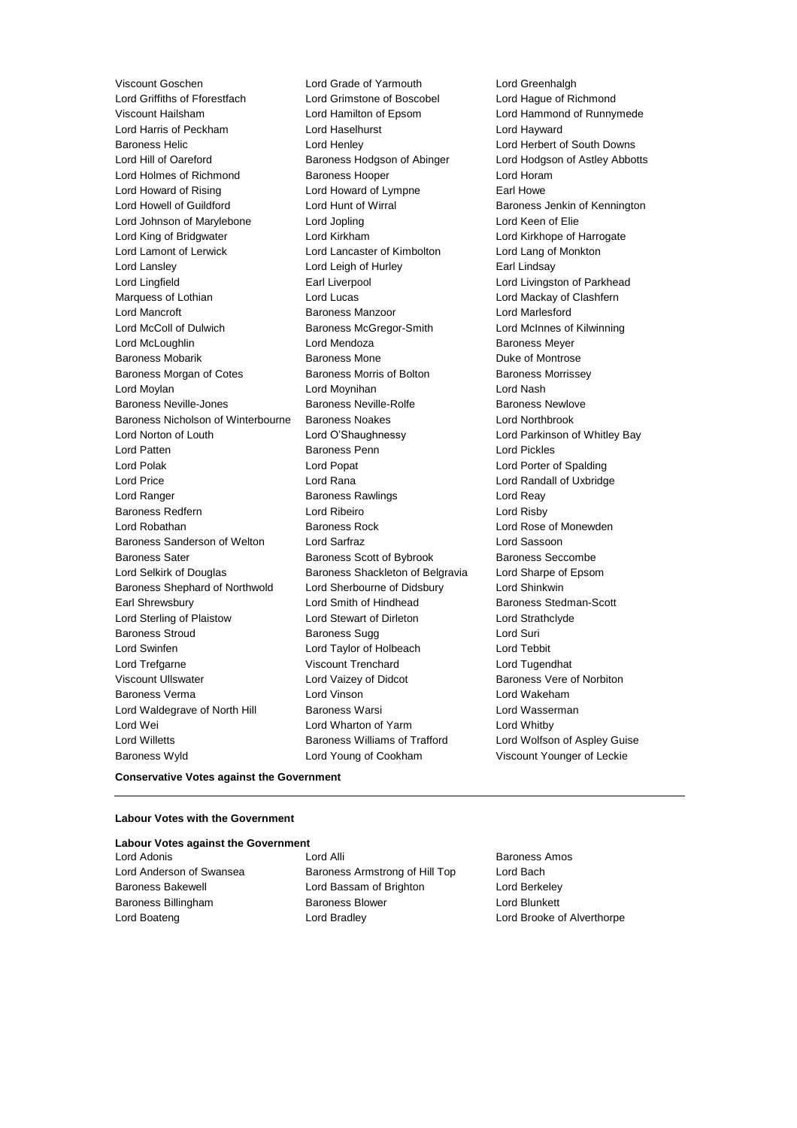Viscount Goschen **Lord Grade of Yarmouth** Lord Greenhalgh<br>
Lord Griffiths of Fforestfach **Lord Grimstone of Boscobel** Lord Haque of Ri Viscount Hailsham Lord Hamilton of Epsom Lord Hammond of Runnymede Lord Harris of Peckham Lord Haselhurst Lord Hayward Baroness Helic **Lord Henley** Lord Henley **Lord Herbert of South Downs** Lord Hill of Oareford **Baroness Hodgson of Abinger** Lord Hodgson of Astley Abbotts Lord Holmes of Richmond Baroness Hooper Lord Horam Lord Howard of Rising **Lord Howard of Lympne** Earl Howe Lord Howell of Guildford **Lord Hunt of Wirral** Baroness Jenkin of Kennington Lord Johnson of Marylebone Lord Jopling Lord Keen of Elie Lord King of Bridgwater Lord Kirkham Lord Kirkhope of Harrogate Lord Lamont of Lerwick Lord Lancaster of Kimbolton Lord Lang of Monkton Lord Lansley Lord Leigh of Hurley Earl Lindsay Lord Lingfield **Earl Liverpool** Earl Liverpool **Lord Livingston of Parkhead** Marquess of Lothian **Lord Lord Lucas** Lord Lucas **Lord Mackay of Clashfern** Lord Mancroft Baroness Manzoor Lord Marlesford Lord McColl of Dulwich Baroness McGregor-Smith Lord McInnes of Kilwinning Lord McLoughlin **Communist Construction Construction** Lord Mendoza **Baroness Meyer** Baroness Mobarik **Baroness Mone** Baroness Mone **Duke of Montrose** Baroness Morgan of Cotes **Baroness Morris of Bolton** Baroness Morrissey Lord Moylan Lord Moynihan Lord Nash Baroness Neville-Jones **Baroness Neville-Rolfe** Baroness Newlove Baroness Nicholson of Winterbourne Baroness Noakes Lord Northbrook Lord Norton of Louth Lord O'Shaughnessy Lord Parkinson of Whitley Bay Lord Patten Baroness Penn Lord Pickles Lord Polak Lord Popat Lord Porter of Spalding Lord Price Lord Rana Lord Randall of Uxbridge Lord Ranger Baroness Rawlings Lord Reay Baroness Redfern Lord Ribeiro Lord Risby Lord Robathan Baroness Rock Lord Rose of Monewden Baroness Sanderson of Welton Lord Sarfraz Lord Sassoon Baroness Sater **Baroness Scott of Bybrook** Baroness Seccombe Lord Selkirk of Douglas Baroness Shackleton of Belgravia Lord Sharpe of Epsom Baroness Shephard of Northwold Lord Sherbourne of Didsbury Lord Shinkwin Earl Shrewsbury **Lord Smith of Hindhead** Baroness Stedman-Scott Lord Sterling of Plaistow Lord Stewart of Dirleton Lord Strathclyde Baroness Stroud **Baroness Sugg Contains Containers** Lord Suri Lord Swinfen Lord Taylor of Holbeach Lord Tebbit Lord Trefgarne Viscount Trenchard Lord Tugendhat Viscount Ullswater **Lord Vaizey of Didcot** Baroness Vere of Norbiton Baroness Verma Lord Vinson Lord Wakeham Lord Waldegrave of North Hill Baroness Warsi **Lord Wasserman** Lord Wei **Lord Wharton of Yarm** Cord Whatby Lord Whitby Lord Willetts Baroness Williams of Trafford Lord Wolfson of Aspley Guise Baroness Wyld Lord Young of Cookham Viscount Younger of Leckie

Lord Grimstone of Boscobel Lord Hague of Richmond

#### **Conservative Votes against the Government**

#### **Labour Votes with the Government**

| Labour Votes against the Government |                                |                            |
|-------------------------------------|--------------------------------|----------------------------|
| Lord Adonis                         | Lord Alli                      | <b>Baroness Amos</b>       |
| Lord Anderson of Swansea            | Baroness Armstrong of Hill Top | Lord Bach                  |
| <b>Baroness Bakewell</b>            | Lord Bassam of Brighton        | Lord Berkeley              |
| Baroness Billingham                 | <b>Baroness Blower</b>         | Lord Blunkett              |
| Lord Boateng                        | Lord Bradley                   | Lord Brooke of Alverthorpe |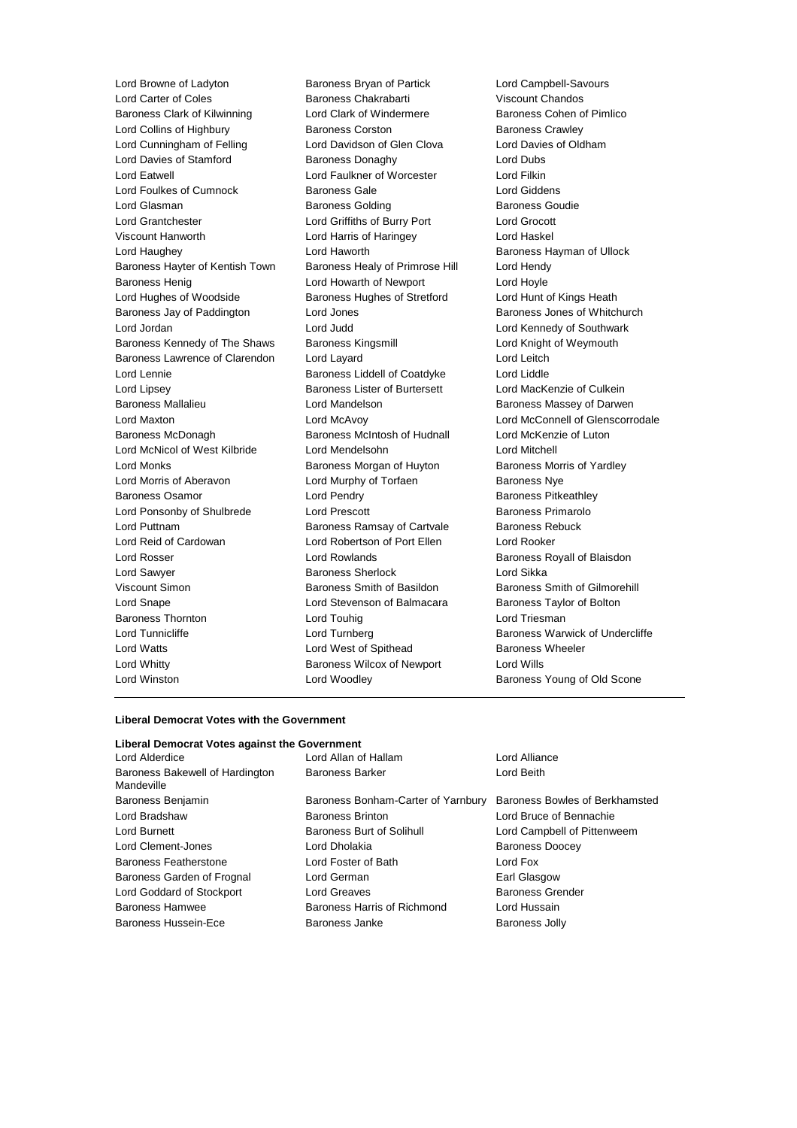Lord Carter of Coles Baroness Chakrabarti Viscount Chandos Baroness Clark of Kilwinning Lord Clark of Windermere Baroness Cohen of Pimlico Lord Collins of Highbury **Baroness Corston** Baroness Crawley Lord Cunningham of Felling Lord Davidson of Glen Clova Lord Davies of Oldham Lord Davies of Stamford **Baroness Donaghy** Lord Dubs<br>
Lord Eatwell **Baroness Donaghy** Lord Eatwell Lord Filkin Lord Foulkes of Cumnock Baroness Gale Lord Giddens Lord Glasman **Baroness Golding Baroness Goudie** Baroness Goudie Lord Grantchester Lord Griffiths of Burry Port Lord Grocott Viscount Hanworth Lord Harris of Haringey Lord Haskel Lord Haughey **Lord Haworth Baroness Hayman of Ullock Baroness Hayman of Ullock** Baroness Hayter of Kentish Town Baroness Healy of Primrose Hill Lord Hendy Baroness Henig **Example 2** Lord Howarth of Newport **Lord Hoyle** Lord Hughes of Woodside **Baroness Hughes of Stretford** Lord Hunt of Kings Heath Baroness Jay of Paddington Lord Jones **Baroness Jones of Whitchurch** Baroness Jones of Whitchurch Lord Jordan Lord Judd Lord Kennedy of Southwark Baroness Kennedy of The Shaws Baroness Kingsmill Lord Knight of Weymouth Baroness Lawrence of Clarendon Lord Layard Lord Leitch Lord Lennie Baroness Liddell of Coatdyke Lord Liddle Lord Lipsey **Baroness Lister of Burtersett** Lord MacKenzie of Culkein Baroness Mallalieu **Baroness Mandelson** Lord Mandelson **Baroness Massey of Darwen** Lord Maxton Lord McAvoy Lord McConnell of Glenscorrodale Baroness McDonagh Baroness McIntosh of Hudnall Lord McKenzie of Luton Lord McNicol of West Kilbride Lord Mendelsohn Lord Mitchell Lord Monks **Baroness Morgan of Huyton** Baroness Morris of Yardley Lord Morris of Aberavon Lord Murphy of Torfaen Baroness Nye Baroness Osamor **Baroness Community** Lord Pendry **Baroness Pricess Pitkeathley** Lord Ponsonby of Shulbrede Lord Prescott Baroness Primarolo Lord Puttnam **Baroness Ramsay of Cartvale** Baroness Rebuck Lord Reid of Cardowan Lord Robertson of Port Ellen Lord Rooker Lord Rosser **Lord Rowlands Baroness Royall of Blaisdon** Lord Sawyer Baroness Sherlock Lord Sikka Viscount Simon **Baroness Smith of Basildon** Baroness Smith of Gilmorehill Lord Snape Lord Stevenson of Balmacara Baroness Taylor of Bolton Baroness Thornton **Lord Touhig** Lord Touhig Lord Triesman Lord Tunnicliffe **Lord Turnberg Lord Turnberg** Baroness Warwick of Undercliffe Lord Watts **Lord West of Spithead** Baroness Wheeler Lord Whitty Baroness Wilcox of Newport Lord Wills Lord Winston Lord Woodley Baroness Young of Old Scone

Lord Browne of Ladyton Baroness Bryan of Partick Lord Campbell-Savours Lord Faulkner of Worcester Lord Filkin

#### **Liberal Democrat Votes with the Government**

#### **Liberal Democrat Votes against the Government** Lord Alderdice Lord Allan of Hallam Lord Alliance Baroness Bakewell of Hardington Mandeville Baroness Barker Lord Beith Baroness Benjamin Baroness Bonham-Carter of Yarnbury Baroness Bowles of Berkhamsted Lord Bradshaw Baroness Brinton Lord Bruce of Bennachie Lord Burnett **Baroness Burt of Solihull** Lord Campbell of Pittenweem Lord Clement-Jones **Lord Dholakia Baroness Doocey** Baroness Featherstone Lord Foster of Bath Lord Fox Baroness Garden of Frognal Lord German **Earl Glasgow** Earl Glasgow Lord Goddard of Stockport Lord Greaves **Baroness Grender** Baroness Grender Baroness Hamwee Baroness Harris of Richmond Lord Hussain Baroness Hussein-Ece **Baroness Janke** Baroness Jolly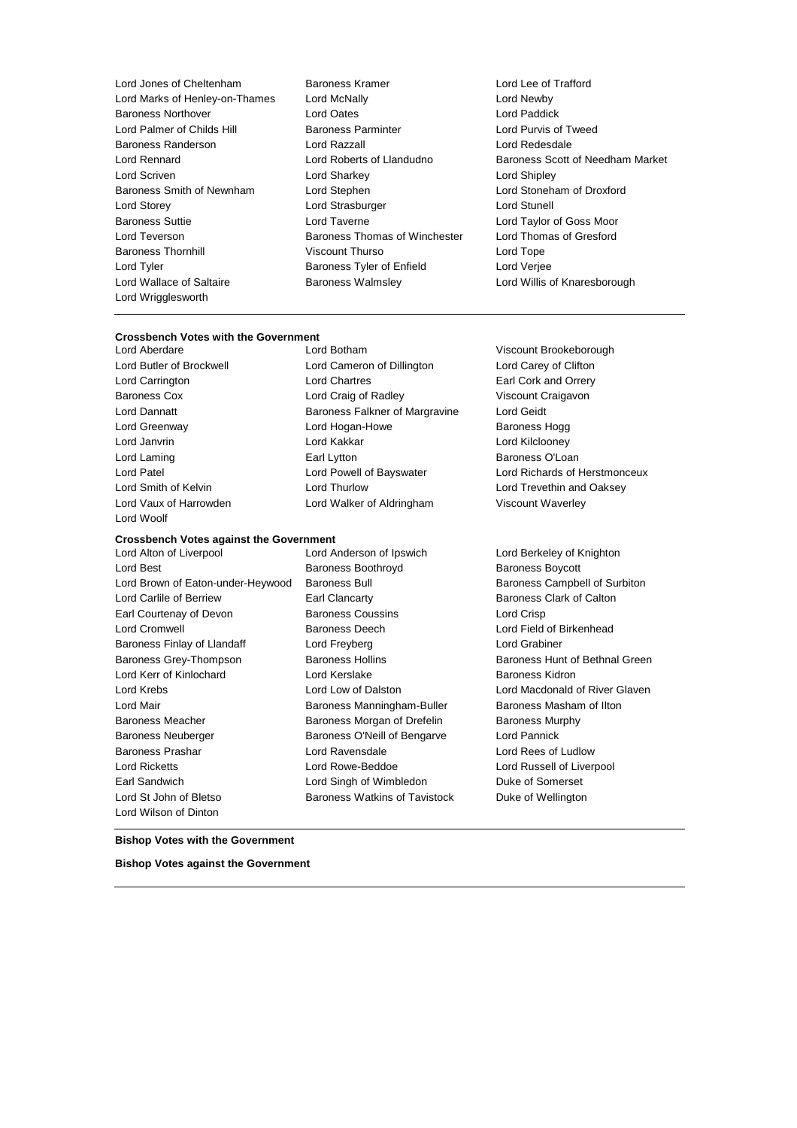Lord Jones of Cheltenham Baroness Kramer Lord Lee of Trafford Lord Marks of Henley-on-Thames Lord McNally Lord Newby Baroness Northover Lord Oates Lord Paddick Lord Palmer of Childs Hill Baroness Parminter Lord Purvis of Tweed Baroness Randerson Lord Razzall Lord Redesdale Lord Scriven Lord Sharkey Lord Shipley Baroness Smith of Newnham Lord Stephen Lord Stoneham of Droxford Lord Storey **Lord Strasburger** Lord Strasburger **Lord Strasburger** Lord Stunell Baroness Suttie Lord Taverne Lord Taylor of Goss Moor Lord Teverson **Baroness Thomas of Winchester** Lord Thomas of Gresford Baroness Thornhill Viscount Thurso Lord Tope Lord Tyler Baroness Tyler of Enfield Lord Verjee Lord Wallace of Saltaire Baroness Walmsley Lord Willis of Knaresborough Lord Wrigglesworth

- 
- Lord Rennard Lord Roberts of Llandudno Baroness Scott of Needham Market

## **Crossbench Votes with the Government**

Lord Woolf

### **Crossbench Votes against the Government**

Lord Best **Baroness Boothroyd** Baroness Boothroyd Baroness Boycott Lord Brown of Eaton-under-Heywood Baroness Bull Baroness Campbell of Surbiton Lord Carlile of Berriew **Earl Clancarty Earl Clancarty** Baroness Clark of Calton Earl Courtenay of Devon Baroness Coussins Lord Crisp Lord Cromwell Baroness Deech Lord Field of Birkenhead Baroness Finlay of Llandaff Lord Freyberg Lord Crabiner Baroness Grey-Thompson Baroness Hollins Baroness Hunt of Bethnal Green Lord Kerr of Kinlochard Lord Kerslake Baroness Kidron Lord Krebs Lord Low of Dalston Lord Macdonald of River Glaven Lord Mair **Baroness Manningham-Buller** Baroness Masham of Ilton Baroness Meacher **Baroness Morgan of Drefelin** Baroness Murphy Baroness Neuberger **Baroness O'Neill of Bengarve** Lord Pannick Baroness Prashar Lord Ravensdale Lord Rees of Ludlow Lord Ricketts Lord Rowe-Beddoe Lord Russell of Liverpool Earl Sandwich Lord Singh of Wimbledon Duke of Somerset Lord St John of Bletso **Baroness Watkins of Tavistock** Duke of Wellington Lord Wilson of Dinton

Lord Butler of Brockwell Lord Cameron of Dillington Lord Carey of Clifton Lord Carrington Lord Chartres Earl Cork and Orrery Baroness Cox Lord Craig of Radley Viscount Craigavon Lord Dannatt **Baroness Falkner of Margravine** Lord Geidt Lord Greenway **Lord Hogan-Howe** Baroness Hogg **CONS** Lord Janvrin Lord Kakkar Lord Kilclooney Lord Laming **Earl Lytton** Earl Lytton **Earl Lytton** Baroness O'Loan Lord Patel Lord Powell of Bayswater Lord Richards of Herstmonceux Lord Smith of Kelvin Lord Thurlow Lord Trevethin and Oaksey Lord Vaux of Harrowden Lord Walker of Aldringham Viscount Waverley

Lord Alton of Liverpool Lord Anderson of Ipswich Lord Berkeley of Knighton

Viscount Brookeborough

**Bishop Votes with the Government**

**Bishop Votes against the Government**